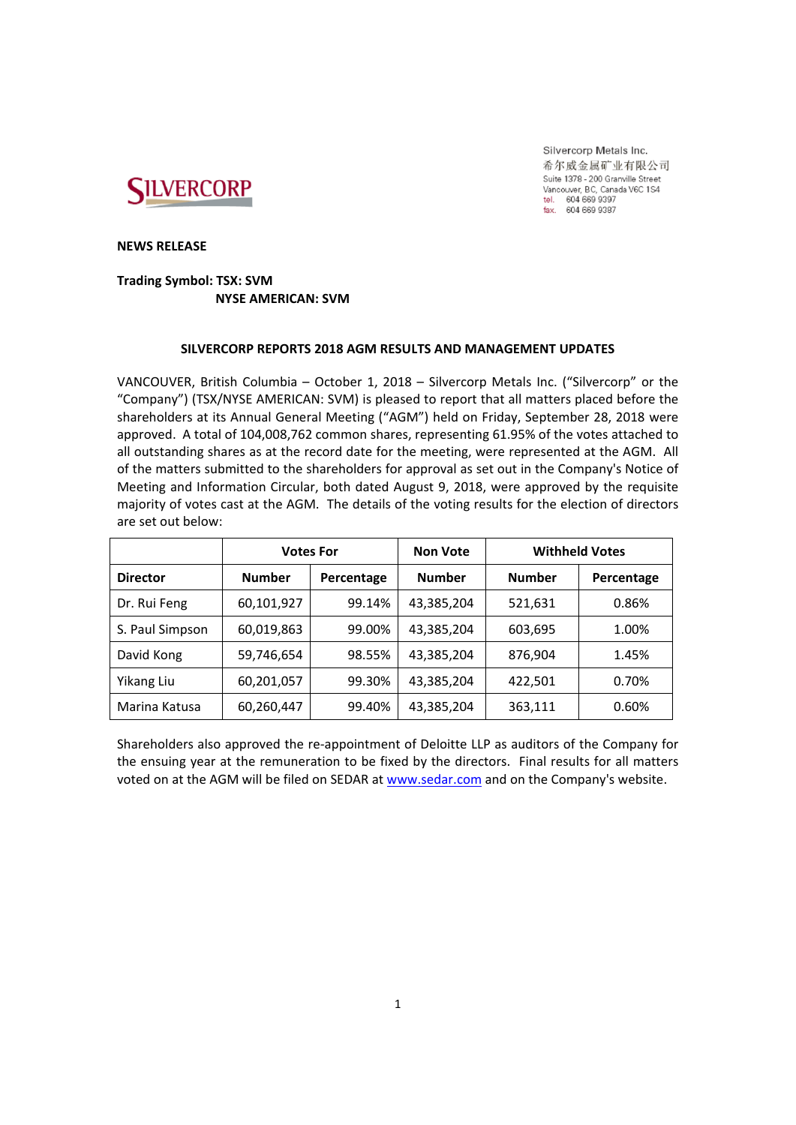

Silvercorp Metals Inc. 希尔威金属矿业有限公司 Suite 1378 - 200 Granville Street Vancouver, BC, Canada V6C 1S4 vancouver, BC, Cana<br>tel. 604 669 9397<br>fax. 604 669 9387

**NEWS RELEASE**

# **Trading Symbol: TSX: SVM NYSE AMERICAN: SVM**

## **SILVERCORP REPORTS 2018 AGM RESULTS AND MANAGEMENT UPDATES**

VANCOUVER, British Columbia – October 1, 2018 – Silvercorp Metals Inc. ("Silvercorp" or the "Company") (TSX/NYSE AMERICAN: SVM) is pleased to report that all matters placed before the shareholders at its Annual General Meeting ("AGM") held on Friday, September 28, 2018 were approved. A total of 104,008,762 common shares, representing 61.95% of the votes attached to all outstanding shares as at the record date for the meeting, were represented at the AGM. All of the matters submitted to the shareholders for approval as set out in the Company's Notice of Meeting and Information Circular, both dated August 9, 2018, were approved by the requisite majority of votes cast at the AGM. The details of the voting results for the election of directors are set out below:

|                 | <b>Votes For</b> |            | <b>Non Vote</b> | <b>Withheld Votes</b> |            |
|-----------------|------------------|------------|-----------------|-----------------------|------------|
| <b>Director</b> | <b>Number</b>    | Percentage | <b>Number</b>   | <b>Number</b>         | Percentage |
| Dr. Rui Feng    | 60,101,927       | 99.14%     | 43,385,204      | 521,631               | 0.86%      |
| S. Paul Simpson | 60,019,863       | 99.00%     | 43,385,204      | 603,695               | 1.00%      |
| David Kong      | 59,746,654       | 98.55%     | 43,385,204      | 876,904               | 1.45%      |
| Yikang Liu      | 60,201,057       | 99.30%     | 43,385,204      | 422,501               | 0.70%      |
| Marina Katusa   | 60,260,447       | 99.40%     | 43,385,204      | 363,111               | 0.60%      |

Shareholders also approved the re‐appointment of Deloitte LLP as auditors of the Company for the ensuing year at the remuneration to be fixed by the directors. Final results for all matters voted on at the AGM will be filed on SEDAR at www.sedar.com and on the Company's website.